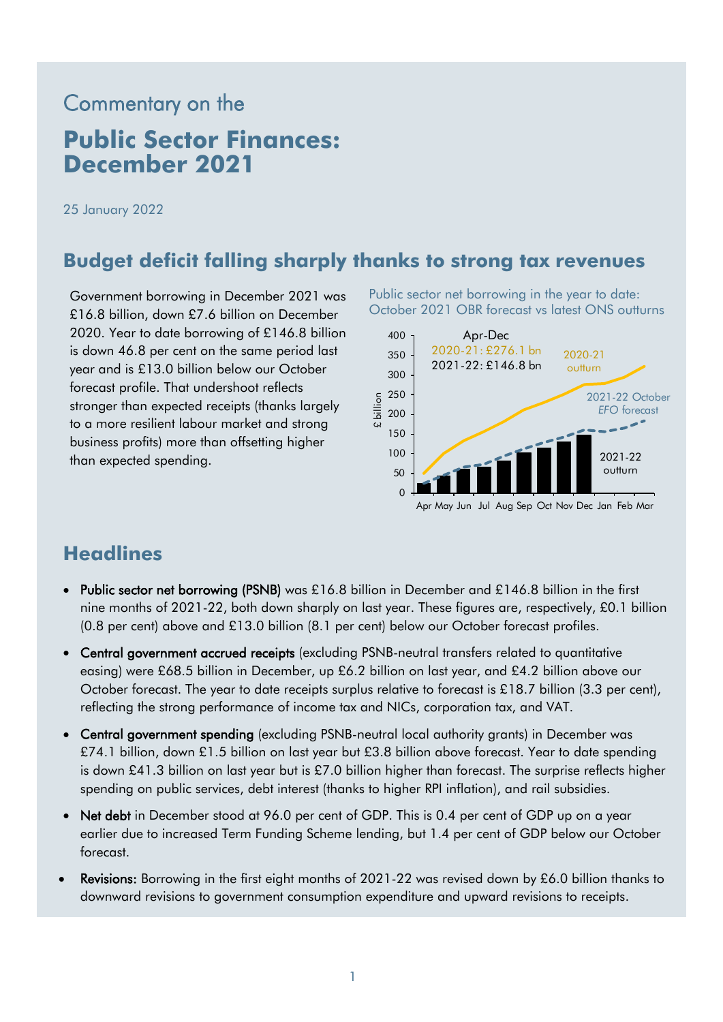# Commentary on the **Public Sector Finances: December 2021**

25 January 2022

### **Budget deficit falling sharply thanks to strong tax revenues**

Government borrowing in December 2021 was £16.8 billion, down £7.6 billion on December 2020. Year to date borrowing of £146.8 billion is down 46.8 per cent on the same period last year and is £13.0 billion below our October forecast profile. That undershoot reflects stronger than expected receipts (thanks largely to a more resilient labour market and strong business profits) more than offsetting higher than expected spending.

Public sector net borrowing in the year to date: October 2021 OBR forecast vs latest ONS outturns



### **Headlines**

- Public sector net borrowing (PSNB) was £16.8 billion in December and £146.8 billion in the first nine months of 2021-22, both down sharply on last year. These figures are, respectively, £0.1 billion (0.8 per cent) above and £13.0 billion (8.1 per cent) below our October forecast profiles.
- Central government accrued receipts (excluding PSNB-neutral transfers related to quantitative easing) were £68.5 billion in December, up £6.2 billion on last year, and £4.2 billion above our October forecast. The year to date receipts surplus relative to forecast is £18.7 billion (3.3 per cent), reflecting the strong performance of income tax and NICs, corporation tax, and VAT.
- Central government spending (excluding PSNB-neutral local authority grants) in December was £74.1 billion, down £1.5 billion on last year but £3.8 billion above forecast. Year to date spending is down £41.3 billion on last year but is £7.0 billion higher than forecast. The surprise reflects higher spending on public services, debt interest (thanks to higher RPI inflation), and rail subsidies.
- Net debt in December stood at 96.0 per cent of GDP. This is 0.4 per cent of GDP up on a year earlier due to increased Term Funding Scheme lending, but 1.4 per cent of GDP below our October forecast.
- Revisions: Borrowing in the first eight months of 2021-22 was revised down by £6.0 billion thanks to downward revisions to government consumption expenditure and upward revisions to receipts.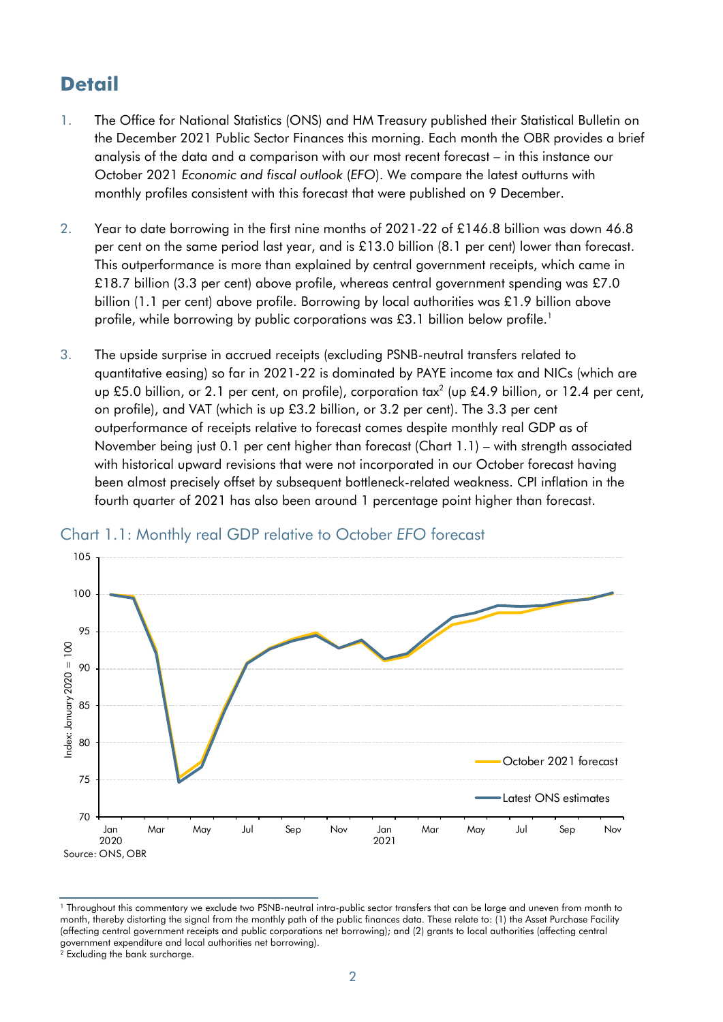## **Detail**

- 1. The Office for National Statistics (ONS) and HM Treasury published their Statistical Bulletin on the December 2021 Public Sector Finances this morning. Each month the OBR provides a brief analysis of the data and a comparison with our most recent forecast – in this instance our October 2021 *Economic and fiscal outlook* (*EFO*). We compare the latest outturns with monthly profiles consistent with this forecast that were published on 9 December.
- 2. Year to date borrowing in the first nine months of 2021-22 of £146.8 billion was down 46.8 per cent on the same period last year, and is £13.0 billion (8.1 per cent) lower than forecast. This outperformance is more than explained by central government receipts, which came in £18.7 billion (3.3 per cent) above profile, whereas central government spending was £7.0 billion (1.1 per cent) above profile. Borrowing by local authorities was £1.9 billion above profile, while borrowing by public corporations was £3.1 billion below profile.<sup>1</sup>
- 3. The upside surprise in accrued receipts (excluding PSNB-neutral transfers related to quantitative easing) so far in 2021-22 is dominated by PAYE income tax and NICs (which are up £5.0 billion, or 2.1 per cent, on profile), corporation tax<sup>2</sup> (up £4.9 billion, or 12.4 per cent, on profile), and VAT (which is up £3.2 billion, or 3.2 per cent). The 3.3 per cent outperformance of receipts relative to forecast comes despite monthly real GDP as of November being just 0.1 per cent higher than forecast (Chart 1.1) – with strength associated with historical upward revisions that were not incorporated in our October forecast having been almost precisely offset by subsequent bottleneck-related weakness. CPI inflation in the fourth quarter of 2021 has also been around 1 percentage point higher than forecast.



#### Chart 1.1: Monthly real GDP relative to October *EFO* forecast

<sup>1</sup> Throughout this commentary we exclude two PSNB-neutral intra-public sector transfers that can be large and uneven from month to month, thereby distorting the signal from the monthly path of the public finances data. These relate to: (1) the Asset Purchase Facility (affecting central government receipts and public corporations net borrowing); and (2) grants to local authorities (affecting central government expenditure and local authorities net borrowing). <sup>2</sup> Excluding the bank surcharge.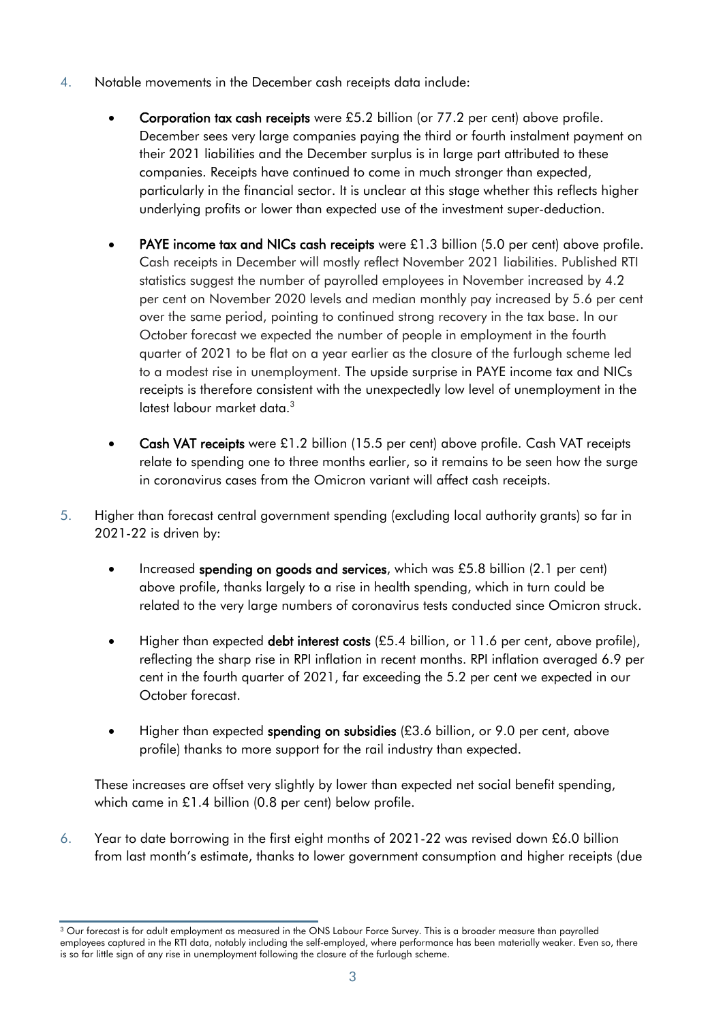- 4. Notable movements in the December cash receipts data include:
	- Corporation tax cash receipts were £5.2 billion (or 77.2 per cent) above profile. December sees very large companies paying the third or fourth instalment payment on their 2021 liabilities and the December surplus is in large part attributed to these companies. Receipts have continued to come in much stronger than expected, particularly in the financial sector. It is unclear at this stage whether this reflects higher underlying profits or lower than expected use of the investment super-deduction.
	- **PAYE income tax and NICs cash receipts** were  $£1.3$  billion ( $5.0$  per cent) above profile. Cash receipts in December will mostly reflect November 2021 liabilities. Published RTI statistics suggest the number of payrolled employees in November increased by 4.2 per cent on November 2020 levels and median monthly pay increased by 5.6 per cent over the same period, pointing to continued strong recovery in the tax base. In our October forecast we expected the number of people in employment in the fourth quarter of 2021 to be flat on a year earlier as the closure of the furlough scheme led to a modest rise in unemployment. The upside surprise in PAYE income tax and NICs receipts is therefore consistent with the unexpectedly low level of unemployment in the latest labour market data.<sup>3</sup>
	- Cash VAT receipts were £1.2 billion (15.5 per cent) above profile. Cash VAT receipts relate to spending one to three months earlier, so it remains to be seen how the surge in coronavirus cases from the Omicron variant will affect cash receipts.
- 5. Higher than forecast central government spending (excluding local authority grants) so far in 2021-22 is driven by:
	- Increased spending on goods and services, which was £5.8 billion (2.1 per cent) above profile, thanks largely to a rise in health spending, which in turn could be related to the very large numbers of coronavirus tests conducted since Omicron struck.
	- Higher than expected **debt interest costs**  $(E5.4 \text{ billion})$ , or 11.6 per cent, above profile), reflecting the sharp rise in RPI inflation in recent months. RPI inflation averaged 6.9 per cent in the fourth quarter of 2021, far exceeding the 5.2 per cent we expected in our October forecast.
	- Higher than expected spending on subsidies (£3.6 billion, or 9.0 per cent, above profile) thanks to more support for the rail industry than expected.

These increases are offset very slightly by lower than expected net social benefit spending, which came in £1.4 billion (0.8 per cent) below profile.

6. Year to date borrowing in the first eight months of 2021-22 was revised down £6.0 billion from last month's estimate, thanks to lower government consumption and higher receipts (due

<sup>&</sup>lt;sup>3</sup> Our forecast is for adult employment as measured in the ONS Labour Force Survey. This is a broader measure than payrolled employees captured in the RTI data, notably including the self-employed, where performance has been materially weaker. Even so, there is so far little sign of any rise in unemployment following the closure of the furlough scheme.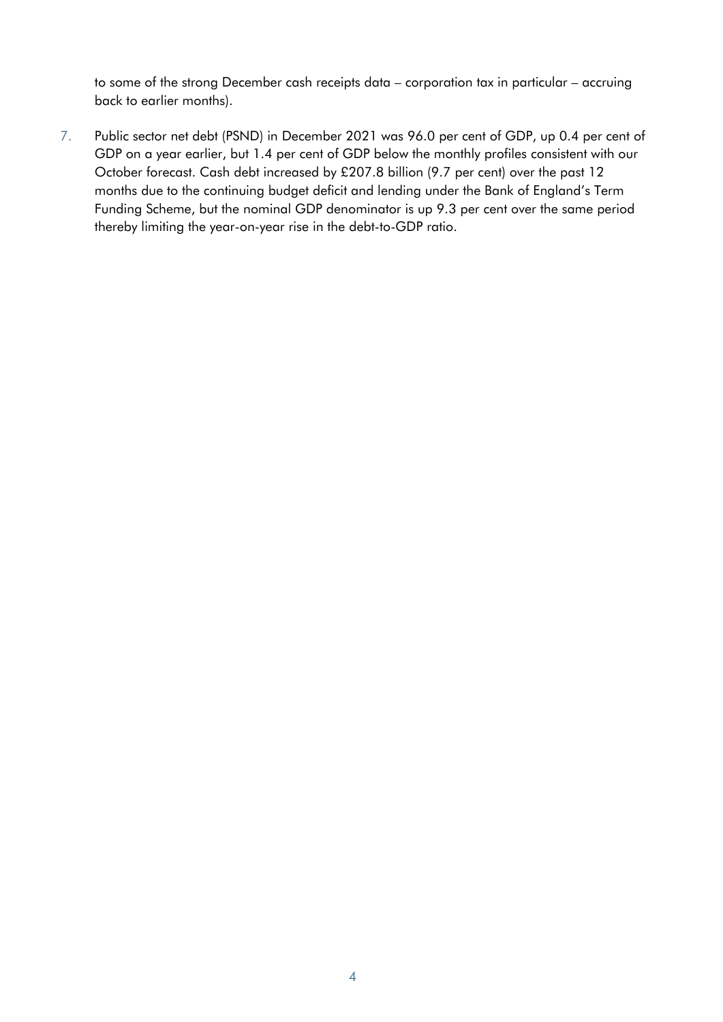to some of the strong December cash receipts data – corporation tax in particular – accruing back to earlier months).

7. Public sector net debt (PSND) in December 2021 was 96.0 per cent of GDP, up 0.4 per cent of GDP on a year earlier, but 1.4 per cent of GDP below the monthly profiles consistent with our October forecast. Cash debt increased by £207.8 billion (9.7 per cent) over the past 12 months due to the continuing budget deficit and lending under the Bank of England's Term Funding Scheme, but the nominal GDP denominator is up 9.3 per cent over the same period thereby limiting the year-on-year rise in the debt-to-GDP ratio.